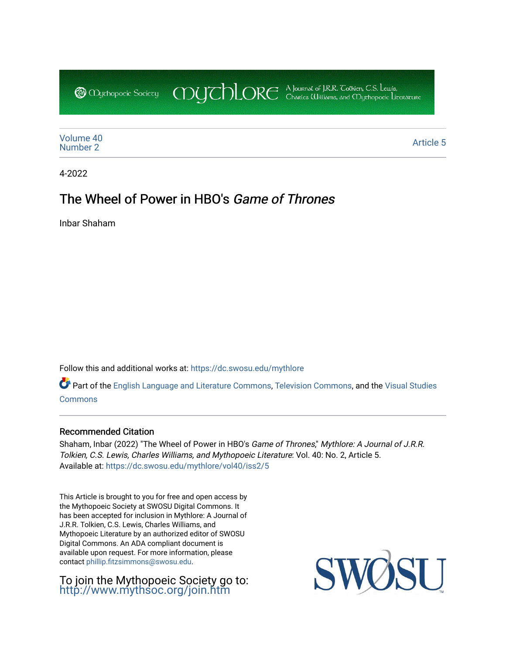CDUCHLORE A Journal of J.R.R. Coltien, C.S. Lewis,<br>CDUCHLORE Charles Williams, and Obyethopoeic Literacure **@** *Oychopoeic* Sociecy

[Volume 40](https://dc.swosu.edu/mythlore/vol40)<br>Number 2 [Number 2](https://dc.swosu.edu/mythlore/vol40/iss2) Article 5<br>Number 2

4-2022

# The Wheel of Power in HBO's Game of Thrones

Inbar Shaham

Follow this and additional works at: [https://dc.swosu.edu/mythlore](https://dc.swosu.edu/mythlore?utm_source=dc.swosu.edu%2Fmythlore%2Fvol40%2Fiss2%2F5&utm_medium=PDF&utm_campaign=PDFCoverPages) 

Part of the [English Language and Literature Commons](http://network.bepress.com/hgg/discipline/455?utm_source=dc.swosu.edu%2Fmythlore%2Fvol40%2Fiss2%2F5&utm_medium=PDF&utm_campaign=PDFCoverPages), [Television Commons,](http://network.bepress.com/hgg/discipline/1143?utm_source=dc.swosu.edu%2Fmythlore%2Fvol40%2Fiss2%2F5&utm_medium=PDF&utm_campaign=PDFCoverPages) and the [Visual Studies](http://network.bepress.com/hgg/discipline/564?utm_source=dc.swosu.edu%2Fmythlore%2Fvol40%2Fiss2%2F5&utm_medium=PDF&utm_campaign=PDFCoverPages)  [Commons](http://network.bepress.com/hgg/discipline/564?utm_source=dc.swosu.edu%2Fmythlore%2Fvol40%2Fiss2%2F5&utm_medium=PDF&utm_campaign=PDFCoverPages)

### Recommended Citation

Shaham, Inbar (2022) "The Wheel of Power in HBO's Game of Thrones," Mythlore: A Journal of J.R.R. Tolkien, C.S. Lewis, Charles Williams, and Mythopoeic Literature: Vol. 40: No. 2, Article 5. Available at: [https://dc.swosu.edu/mythlore/vol40/iss2/5](https://dc.swosu.edu/mythlore/vol40/iss2/5?utm_source=dc.swosu.edu%2Fmythlore%2Fvol40%2Fiss2%2F5&utm_medium=PDF&utm_campaign=PDFCoverPages) 

This Article is brought to you for free and open access by the Mythopoeic Society at SWOSU Digital Commons. It has been accepted for inclusion in Mythlore: A Journal of J.R.R. Tolkien, C.S. Lewis, Charles Williams, and Mythopoeic Literature by an authorized editor of SWOSU Digital Commons. An ADA compliant document is available upon request. For more information, please contact [phillip.fitzsimmons@swosu.edu.](mailto:phillip.fitzsimmons@swosu.edu)

To join the Mythopoeic Society go to: <http://www.mythsoc.org/join.htm>

SU SWO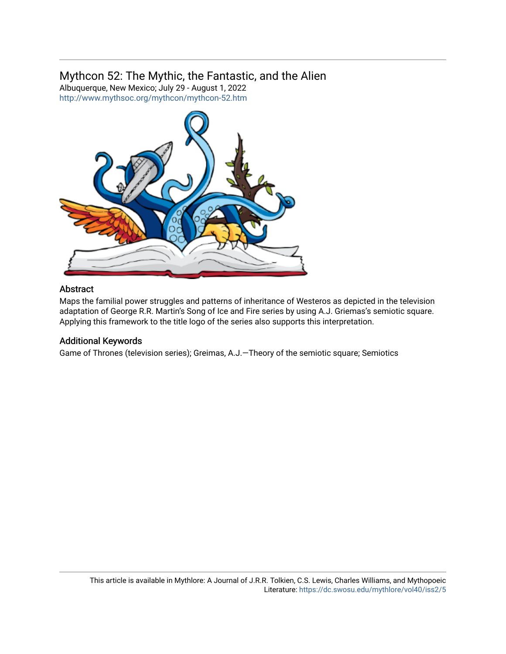# Mythcon 52: The Mythic, the Fantastic, and the Alien

Albuquerque, New Mexico; July 29 - August 1, 2022 <http://www.mythsoc.org/mythcon/mythcon-52.htm>



### Abstract

Maps the familial power struggles and patterns of inheritance of Westeros as depicted in the television adaptation of George R.R. Martin's Song of Ice and Fire series by using A.J. Griemas's semiotic square. Applying this framework to the title logo of the series also supports this interpretation.

### Additional Keywords

Game of Thrones (television series); Greimas, A.J.—Theory of the semiotic square; Semiotics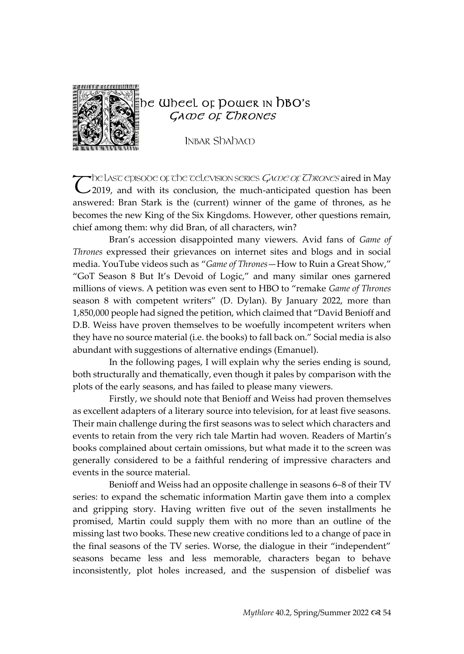

## he Wheel of Dower in hBO's GA OF CHRONES

INBAR Shaham

The Lasc episobe of the television series Game of Thrones aired in May The LASC episode of the celevision series  $G \triangle O$  Chrones aired in May 2019, and with its conclusion, the much-anticipated question has been answered: Bran Stark is the (current) winner of the game of thrones, as he becomes the new King of the Six Kingdoms. However, other questions remain, chief among them: why did Bran, of all characters, win?

Bran's accession disappointed many viewers. Avid fans of *Game of Thrones* expressed their grievances on internet sites and blogs and in social media. YouTube videos such as "*Game of Thrones*—How to Ruin a Great Show," "GoT Season 8 But It's Devoid of Logic," and many similar ones garnered millions of views. A petition was even sent to HBO to "remake *Game of Thrones* season 8 with competent writers" (D. Dylan). By January 2022, more than 1,850,000 people had signed the petition, which claimed that "David Benioff and D.B. Weiss have proven themselves to be woefully incompetent writers when they have no source material (i.e. the books) to fall back on." Social media is also abundant with suggestions of alternative endings (Emanuel).

In the following pages, I will explain why the series ending is sound, both structurally and thematically, even though it pales by comparison with the plots of the early seasons, and has failed to please many viewers.

Firstly, we should note that Benioff and Weiss had proven themselves as excellent adapters of a literary source into television, for at least five seasons. Their main challenge during the first seasons was to select which characters and events to retain from the very rich tale Martin had woven. Readers of Martin's books complained about certain omissions, but what made it to the screen was generally considered to be a faithful rendering of impressive characters and events in the source material.

Benioff and Weiss had an opposite challenge in seasons 6–8 of their TV series: to expand the schematic information Martin gave them into a complex and gripping story. Having written five out of the seven installments he promised, Martin could supply them with no more than an outline of the missing last two books. These new creative conditions led to a change of pace in the final seasons of the TV series. Worse, the dialogue in their "independent" seasons became less and less memorable, characters began to behave inconsistently, plot holes increased, and the suspension of disbelief was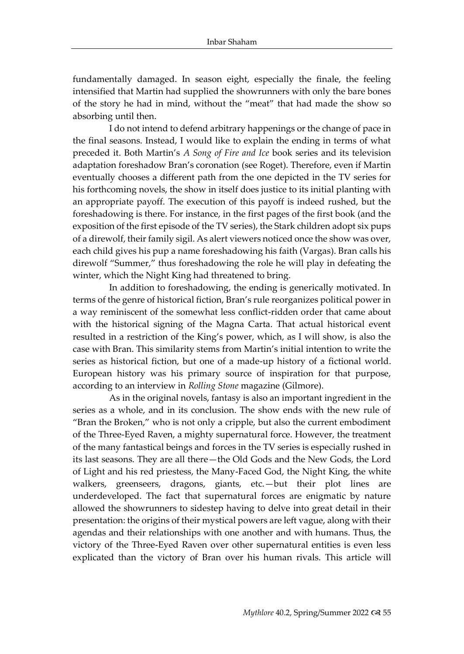fundamentally damaged. In season eight, especially the finale, the feeling intensified that Martin had supplied the showrunners with only the bare bones of the story he had in mind, without the "meat" that had made the show so absorbing until then.

I do not intend to defend arbitrary happenings or the change of pace in the final seasons. Instead, I would like to explain the ending in terms of what preceded it. Both Martin's *A Song of Fire and Ice* book series and its television adaptation foreshadow Bran's coronation (see Roget). Therefore, even if Martin eventually chooses a different path from the one depicted in the TV series for his forthcoming novels, the show in itself does justice to its initial planting with an appropriate payoff. The execution of this payoff is indeed rushed, but the foreshadowing is there. For instance, in the first pages of the first book (and the exposition of the first episode of the TV series), the Stark children adopt six pups of a direwolf, their family sigil. As alert viewers noticed once the show was over, each child gives his pup a name foreshadowing his faith (Vargas). Bran calls his direwolf "Summer," thus foreshadowing the role he will play in defeating the winter, which the Night King had threatened to bring.

In addition to foreshadowing, the ending is generically motivated. In terms of the genre of historical fiction, Bran's rule reorganizes political power in a way reminiscent of the somewhat less conflict-ridden order that came about with the historical signing of the Magna Carta. That actual historical event resulted in a restriction of the King's power, which, as I will show, is also the case with Bran. This similarity stems from Martin's initial intention to write the series as historical fiction, but one of a made-up history of a fictional world. European history was his primary source of inspiration for that purpose, according to an interview in *Rolling Stone* magazine (Gilmore).

As in the original novels, fantasy is also an important ingredient in the series as a whole, and in its conclusion. The show ends with the new rule of "Bran the Broken," who is not only a cripple, but also the current embodiment of the Three-Eyed Raven, a mighty supernatural force. However, the treatment of the many fantastical beings and forces in the TV series is especially rushed in its last seasons. They are all there—the Old Gods and the New Gods, the Lord of Light and his red priestess, the Many-Faced God, the Night King, the white walkers, greenseers, dragons, giants, etc.—but their plot lines are underdeveloped. The fact that supernatural forces are enigmatic by nature allowed the showrunners to sidestep having to delve into great detail in their presentation: the origins of their mystical powers are left vague, along with their agendas and their relationships with one another and with humans. Thus, the victory of the Three-Eyed Raven over other supernatural entities is even less explicated than the victory of Bran over his human rivals. This article will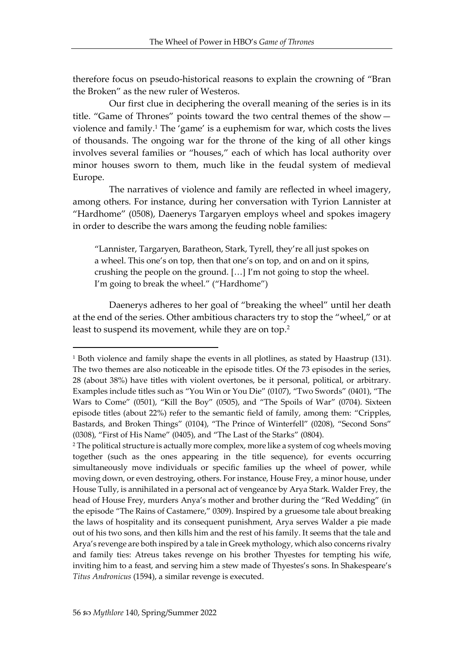therefore focus on pseudo-historical reasons to explain the crowning of "Bran the Broken" as the new ruler of Westeros.

Our first clue in deciphering the overall meaning of the series is in its title. "Game of Thrones" points toward the two central themes of the show violence and family.<sup>1</sup> The 'game' is a euphemism for war, which costs the lives of thousands. The ongoing war for the throne of the king of all other kings involves several families or "houses," each of which has local authority over minor houses sworn to them, much like in the feudal system of medieval Europe.

The narratives of violence and family are reflected in wheel imagery, among others. For instance, during her conversation with Tyrion Lannister at "Hardhome" (0508), Daenerys Targaryen employs wheel and spokes imagery in order to describe the wars among the feuding noble families:

"Lannister, Targaryen, Baratheon, Stark, Tyrell, they're all just spokes on a wheel. This one's on top, then that one's on top, and on and on it spins, crushing the people on the ground. […] I'm not going to stop the wheel. I'm going to break the wheel." ("Hardhome")

Daenerys adheres to her goal of "breaking the wheel" until her death at the end of the series. Other ambitious characters try to stop the "wheel," or at least to suspend its movement, while they are on top.<sup>2</sup>

<sup>1</sup> Both violence and family shape the events in all plotlines, as stated by Haastrup (131). The two themes are also noticeable in the episode titles. Of the 73 episodes in the series, 28 (about 38%) have titles with violent overtones, be it personal, political, or arbitrary. Examples include titles such as "You Win or You Die" (0107), "Two Swords" (0401), "The Wars to Come" (0501), "Kill the Boy" (0505), and "The Spoils of War" (0704). Sixteen episode titles (about 22%) refer to the semantic field of family, among them: "Cripples, Bastards, and Broken Things" (0104), "The Prince of Winterfell" (0208), "Second Sons" (0308), "First of His Name" (0405), and "The Last of the Starks" (0804).

<sup>2</sup> The political structure is actually more complex, more like a system of cog wheels moving together (such as the ones appearing in the title sequence), for events occurring simultaneously move individuals or specific families up the wheel of power, while moving down, or even destroying, others. For instance, House Frey, a minor house, under House Tully, is annihilated in a personal act of vengeance by Arya Stark. Walder Frey, the head of House Frey, murders Anya's mother and brother during the "Red Wedding" (in the episode "The Rains of Castamere," 0309). Inspired by a gruesome tale about breaking the laws of hospitality and its consequent punishment, Arya serves Walder a pie made out of his two sons, and then kills him and the rest of his family. It seems that the tale and Arya's revenge are both inspired by a tale in Greek mythology, which also concerns rivalry and family ties: Atreus takes revenge on his brother Thyestes for tempting his wife, inviting him to a feast, and serving him a stew made of Thyestes's sons. In Shakespeare's *Titus Andronicus* (1594), a similar revenge is executed.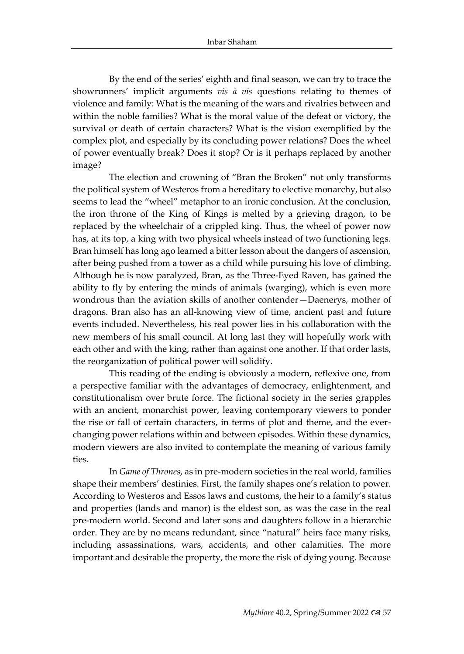By the end of the series' eighth and final season, we can try to trace the showrunners' implicit arguments *vis à vis* questions relating to themes of violence and family: What is the meaning of the wars and rivalries between and within the noble families? What is the moral value of the defeat or victory, the survival or death of certain characters? What is the vision exemplified by the complex plot, and especially by its concluding power relations? Does the wheel of power eventually break? Does it stop? Or is it perhaps replaced by another image?

The election and crowning of "Bran the Broken" not only transforms the political system of Westeros from a hereditary to elective monarchy, but also seems to lead the "wheel" metaphor to an ironic conclusion. At the conclusion, the iron throne of the King of Kings is melted by a grieving dragon, to be replaced by the wheelchair of a crippled king. Thus, the wheel of power now has, at its top, a king with two physical wheels instead of two functioning legs. Bran himself has long ago learned a bitter lesson about the dangers of ascension, after being pushed from a tower as a child while pursuing his love of climbing. Although he is now paralyzed, Bran, as the Three-Eyed Raven, has gained the ability to fly by entering the minds of animals (warging), which is even more wondrous than the aviation skills of another contender—Daenerys, mother of dragons. Bran also has an all-knowing view of time, ancient past and future events included. Nevertheless, his real power lies in his collaboration with the new members of his small council. At long last they will hopefully work with each other and with the king, rather than against one another. If that order lasts, the reorganization of political power will solidify.

This reading of the ending is obviously a modern, reflexive one, from a perspective familiar with the advantages of democracy, enlightenment, and constitutionalism over brute force. The fictional society in the series grapples with an ancient, monarchist power, leaving contemporary viewers to ponder the rise or fall of certain characters, in terms of plot and theme, and the everchanging power relations within and between episodes. Within these dynamics, modern viewers are also invited to contemplate the meaning of various family ties.

In *Game of Thrones*, as in pre-modern societies in the real world, families shape their members' destinies. First, the family shapes one's relation to power. According to Westeros and Essos laws and customs, the heir to a family's status and properties (lands and manor) is the eldest son, as was the case in the real pre-modern world. Second and later sons and daughters follow in a hierarchic order. They are by no means redundant, since "natural" heirs face many risks, including assassinations, wars, accidents, and other calamities. The more important and desirable the property, the more the risk of dying young. Because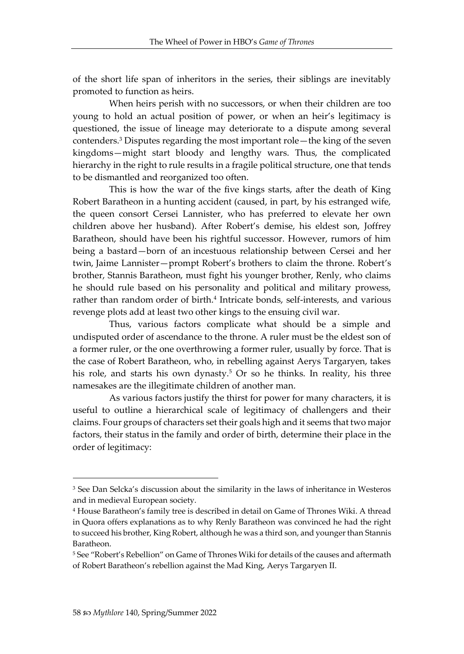of the short life span of inheritors in the series, their siblings are inevitably promoted to function as heirs.

When heirs perish with no successors, or when their children are too young to hold an actual position of power, or when an heir's legitimacy is questioned, the issue of lineage may deteriorate to a dispute among several contenders.<sup>3</sup> Disputes regarding the most important role—the king of the seven kingdoms—might start bloody and lengthy wars. Thus, the complicated hierarchy in the right to rule results in a fragile political structure, one that tends to be dismantled and reorganized too often.

This is how the war of the five kings starts, after the death of King Robert Baratheon in a hunting accident (caused, in part, by his estranged wife, the queen consort Cersei Lannister, who has preferred to elevate her own children above her husband). After Robert's demise, his eldest son, Joffrey Baratheon, should have been his rightful successor. However, rumors of him being a bastard—born of an incestuous relationship between Cersei and her twin, Jaime Lannister—prompt Robert's brothers to claim the throne. Robert's brother, Stannis Baratheon, must fight his younger brother, Renly, who claims he should rule based on his personality and political and military prowess, rather than random order of birth.<sup>4</sup> Intricate bonds, self-interests, and various revenge plots add at least two other kings to the ensuing civil war.

Thus, various factors complicate what should be a simple and undisputed order of ascendance to the throne. A ruler must be the eldest son of a former ruler, or the one overthrowing a former ruler, usually by force. That is the case of Robert Baratheon, who, in rebelling against Aerys Targaryen, takes his role, and starts his own dynasty.<sup>5</sup> Or so he thinks. In reality, his three namesakes are the illegitimate children of another man.

As various factors justify the thirst for power for many characters, it is useful to outline a hierarchical scale of legitimacy of challengers and their claims. Four groups of characters set their goals high and it seems that two major factors, their status in the family and order of birth, determine their place in the order of legitimacy:

<sup>&</sup>lt;sup>3</sup> See Dan Selcka's discussion about the similarity in the laws of inheritance in Westeros and in medieval European society.

<sup>4</sup> House Baratheon's family tree is described in detail on Game of Thrones Wiki. A thread in Quora offers explanations as to why Renly Baratheon was convinced he had the right to succeed his brother, King Robert, although he was a third son, and younger than Stannis Baratheon.

<sup>5</sup> See "Robert's Rebellion" on Game of Thrones Wiki for details of the causes and aftermath of Robert Baratheon's rebellion against the Mad King, Aerys Targaryen II.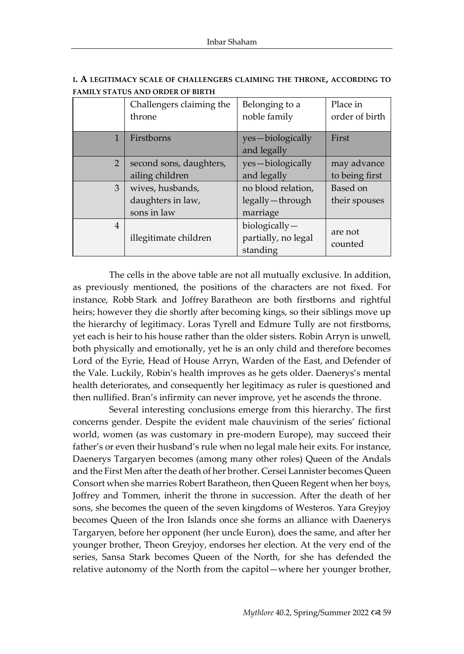|                | Challengers claiming the<br>throne                   | Belonging to a<br>noble family                      | Place in<br>order of birth    |
|----------------|------------------------------------------------------|-----------------------------------------------------|-------------------------------|
| 1              | Firstborns                                           | yes-biologically<br>and legally                     | First                         |
| $\overline{2}$ | second sons, daughters,<br>ailing children           | yes-biologically<br>and legally                     | may advance<br>to being first |
| 3              | wives, husbands,<br>daughters in law,<br>sons in law | no blood relation,<br>legally — through<br>marriage | Based on<br>their spouses     |
| $\overline{4}$ | illegitimate children                                | $biologically -$<br>partially, no legal<br>standing | are not<br>counted            |

**I. A LEGITIMACY SCALE OF CHALLENGERS CLAIMING THE THRONE, ACCORDING TO FAMILY STATUS AND ORDER OF BIRTH**

The cells in the above table are not all mutually exclusive. In addition, as previously mentioned, the positions of the characters are not fixed. For instance, Robb Stark and Joffrey Baratheon are both firstborns and rightful heirs; however they die shortly after becoming kings, so their siblings move up the hierarchy of legitimacy. Loras Tyrell and Edmure Tully are not firstborns, yet each is heir to his house rather than the older sisters. Robin Arryn is unwell, both physically and emotionally, yet he is an only child and therefore becomes Lord of the Eyrie, Head of House Arryn, Warden of the East, and Defender of the Vale. Luckily, Robin's health improves as he gets older. Daenerys's mental health deteriorates, and consequently her legitimacy as ruler is questioned and then nullified. Bran's infirmity can never improve, yet he ascends the throne.

Several interesting conclusions emerge from this hierarchy. The first concerns gender. Despite the evident male chauvinism of the series' fictional world, women (as was customary in pre-modern Europe), may succeed their father's or even their husband's rule when no legal male heir exits. For instance, Daenerys Targaryen becomes (among many other roles) Queen of the Andals and the First Men after the death of her brother. Cersei Lannister becomes Queen Consort when she marries Robert Baratheon, then Queen Regent when her boys, Joffrey and Tommen, inherit the throne in succession. After the death of her sons, she becomes the queen of the seven kingdoms of Westeros. Yara Greyjoy becomes Queen of the Iron Islands once she forms an alliance with Daenerys Targaryen, before her opponent (her uncle Euron), does the same, and after her younger brother, Theon Greyjoy, endorses her election. At the very end of the series, Sansa Stark becomes Queen of the North, for she has defended the relative autonomy of the North from the capitol—where her younger brother,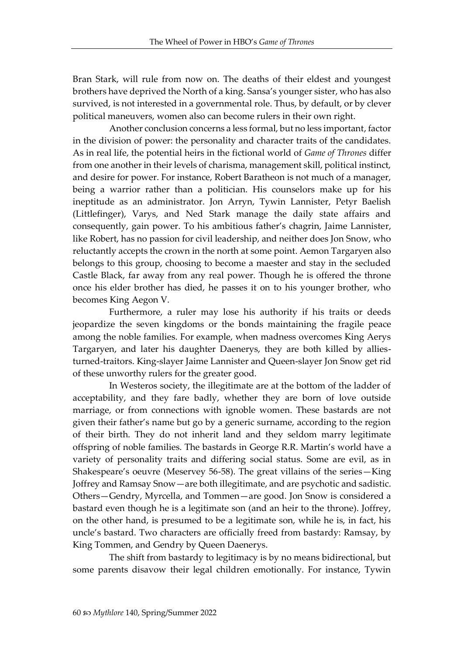Bran Stark, will rule from now on. The deaths of their eldest and youngest brothers have deprived the North of a king. Sansa's younger sister, who has also survived, is not interested in a governmental role. Thus, by default, or by clever political maneuvers, women also can become rulers in their own right.

Another conclusion concerns a less formal, but no less important, factor in the division of power: the personality and character traits of the candidates. As in real life, the potential heirs in the fictional world of *Game of Thrones* differ from one another in their levels of charisma, management skill, political instinct, and desire for power. For instance, Robert Baratheon is not much of a manager, being a warrior rather than a politician. His counselors make up for his ineptitude as an administrator. Jon Arryn, Tywin Lannister, Petyr Baelish (Littlefinger), Varys, and Ned Stark manage the daily state affairs and consequently, gain power. To his ambitious father's chagrin, Jaime Lannister, like Robert, has no passion for civil leadership, and neither does Jon Snow, who reluctantly accepts the crown in the north at some point. Aemon Targaryen also belongs to this group, choosing to become a maester and stay in the secluded Castle Black, far away from any real power. Though he is offered the throne once his elder brother has died, he passes it on to his younger brother, who becomes King Aegon V.

Furthermore, a ruler may lose his authority if his traits or deeds jeopardize the seven kingdoms or the bonds maintaining the fragile peace among the noble families. For example, when madness overcomes King Aerys Targaryen, and later his daughter Daenerys, they are both killed by alliesturned-traitors. King-slayer Jaime Lannister and Queen-slayer Jon Snow get rid of these unworthy rulers for the greater good.

In Westeros society, the illegitimate are at the bottom of the ladder of acceptability, and they fare badly, whether they are born of love outside marriage, or from connections with ignoble women. These bastards are not given their father's name but go by a generic surname, according to the region of their birth. They do not inherit land and they seldom marry legitimate offspring of noble families. The bastards in George R.R. Martin's world have a variety of personality traits and differing social status. Some are evil, as in Shakespeare's oeuvre (Meservey 56-58). The great villains of the series—King Joffrey and Ramsay Snow—are both illegitimate, and are psychotic and sadistic. Others—Gendry, Myrcella, and Tommen—are good. Jon Snow is considered a bastard even though he is a legitimate son (and an heir to the throne). Joffrey, on the other hand, is presumed to be a legitimate son, while he is, in fact, his uncle's bastard. Two characters are officially freed from bastardy: Ramsay, by King Tommen, and Gendry by Queen Daenerys.

The shift from bastardy to legitimacy is by no means bidirectional, but some parents disavow their legal children emotionally. For instance, Tywin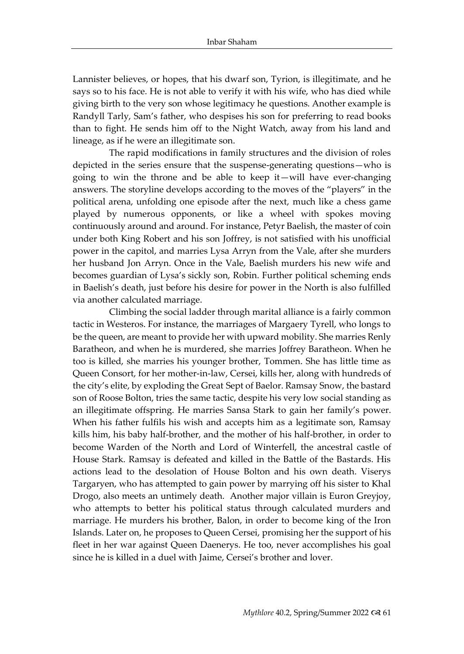Lannister believes, or hopes, that his dwarf son, Tyrion, is illegitimate, and he says so to his face. He is not able to verify it with his wife, who has died while giving birth to the very son whose legitimacy he questions. Another example is Randyll Tarly, Sam's father, who despises his son for preferring to read books than to fight. He sends him off to the Night Watch, away from his land and lineage, as if he were an illegitimate son.

The rapid modifications in family structures and the division of roles depicted in the series ensure that the suspense-generating questions—who is going to win the throne and be able to keep it—will have ever-changing answers. The storyline develops according to the moves of the "players" in the political arena, unfolding one episode after the next, much like a chess game played by numerous opponents, or like a wheel with spokes moving continuously around and around. For instance, Petyr Baelish, the master of coin under both King Robert and his son Joffrey, is not satisfied with his unofficial power in the capitol, and marries Lysa Arryn from the Vale, after she murders her husband Jon Arryn. Once in the Vale, Baelish murders his new wife and becomes guardian of Lysa's sickly son, Robin. Further political scheming ends in Baelish's death, just before his desire for power in the North is also fulfilled via another calculated marriage.

Climbing the social ladder through marital alliance is a fairly common tactic in Westeros. For instance, the marriages of Margaery Tyrell, who longs to be the queen, are meant to provide her with upward mobility. She marries Renly Baratheon, and when he is murdered, she marries Joffrey Baratheon. When he too is killed, she marries his younger brother, Tommen. She has little time as Queen Consort, for her mother-in-law, Cersei, kills her, along with hundreds of the city's elite, by exploding the Great Sept of Baelor. Ramsay Snow, the bastard son of Roose Bolton, tries the same tactic, despite his very low social standing as an illegitimate offspring. He marries Sansa Stark to gain her family's power. When his father fulfils his wish and accepts him as a legitimate son, Ramsay kills him, his baby half-brother, and the mother of his half-brother, in order to become Warden of the North and Lord of Winterfell, the ancestral castle of House Stark. Ramsay is defeated and killed in the Battle of the Bastards. His actions lead to the desolation of House Bolton and his own death. Viserys Targaryen, who has attempted to gain power by marrying off his sister to Khal Drogo, also meets an untimely death. Another major villain is Euron Greyjoy, who attempts to better his political status through calculated murders and marriage. He murders his brother, Balon, in order to become king of the Iron Islands. Later on, he proposes to Queen Cersei, promising her the support of his fleet in her war against Queen Daenerys. He too, never accomplishes his goal since he is killed in a duel with Jaime, Cersei's brother and lover.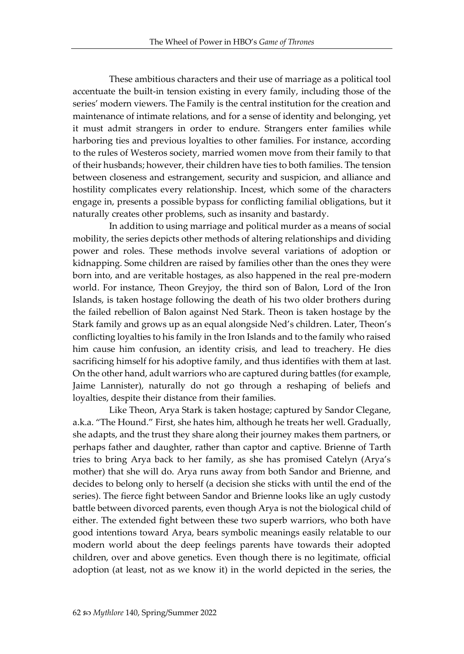These ambitious characters and their use of marriage as a political tool accentuate the built-in tension existing in every family, including those of the series' modern viewers. The Family is the central institution for the creation and maintenance of intimate relations, and for a sense of identity and belonging, yet it must admit strangers in order to endure. Strangers enter families while harboring ties and previous loyalties to other families. For instance, according to the rules of Westeros society, married women move from their family to that of their husbands; however, their children have ties to both families. The tension between closeness and estrangement, security and suspicion, and alliance and hostility complicates every relationship. Incest, which some of the characters engage in, presents a possible bypass for conflicting familial obligations, but it naturally creates other problems, such as insanity and bastardy.

In addition to using marriage and political murder as a means of social mobility, the series depicts other methods of altering relationships and dividing power and roles. These methods involve several variations of adoption or kidnapping. Some children are raised by families other than the ones they were born into, and are veritable hostages, as also happened in the real pre-modern world. For instance, Theon Greyjoy, the third son of Balon, Lord of the Iron Islands, is taken hostage following the death of his two older brothers during the failed rebellion of Balon against Ned Stark. Theon is taken hostage by the Stark family and grows up as an equal alongside Ned's children. Later, Theon's conflicting loyalties to his family in the Iron Islands and to the family who raised him cause him confusion, an identity crisis, and lead to treachery. He dies sacrificing himself for his adoptive family, and thus identifies with them at last. On the other hand, adult warriors who are captured during battles (for example, Jaime Lannister), naturally do not go through a reshaping of beliefs and loyalties, despite their distance from their families.

Like Theon, Arya Stark is taken hostage; captured by Sandor Clegane, a.k.a. "The Hound." First, she hates him, although he treats her well. Gradually, she adapts, and the trust they share along their journey makes them partners, or perhaps father and daughter, rather than captor and captive. Brienne of Tarth tries to bring Arya back to her family, as she has promised Catelyn (Arya's mother) that she will do. Arya runs away from both Sandor and Brienne, and decides to belong only to herself (a decision she sticks with until the end of the series). The fierce fight between Sandor and Brienne looks like an ugly custody battle between divorced parents, even though Arya is not the biological child of either. The extended fight between these two superb warriors, who both have good intentions toward Arya, bears symbolic meanings easily relatable to our modern world about the deep feelings parents have towards their adopted children, over and above genetics. Even though there is no legitimate, official adoption (at least, not as we know it) in the world depicted in the series, the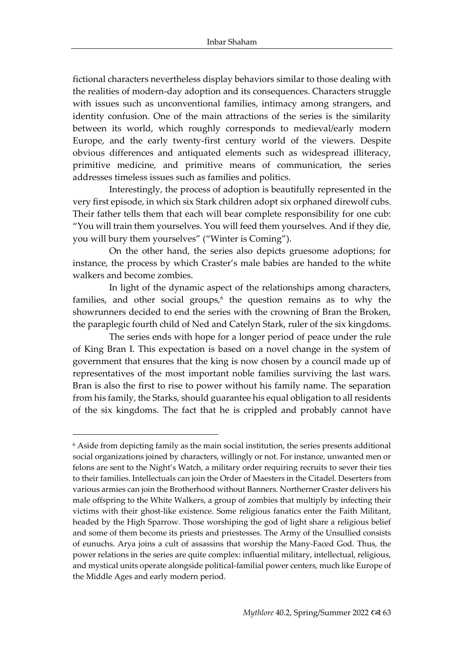fictional characters nevertheless display behaviors similar to those dealing with the realities of modern-day adoption and its consequences. Characters struggle with issues such as unconventional families, intimacy among strangers, and identity confusion. One of the main attractions of the series is the similarity between its world, which roughly corresponds to medieval/early modern Europe, and the early twenty-first century world of the viewers. Despite obvious differences and antiquated elements such as widespread illiteracy, primitive medicine, and primitive means of communication, the series addresses timeless issues such as families and politics.

Interestingly, the process of adoption is beautifully represented in the very first episode, in which six Stark children adopt six orphaned direwolf cubs. Their father tells them that each will bear complete responsibility for one cub: "You will train them yourselves. You will feed them yourselves. And if they die, you will bury them yourselves" ("Winter is Coming").

On the other hand, the series also depicts gruesome adoptions; for instance, the process by which Craster's male babies are handed to the white walkers and become zombies.

In light of the dynamic aspect of the relationships among characters, families, and other social groups, $6$  the question remains as to why the showrunners decided to end the series with the crowning of Bran the Broken, the paraplegic fourth child of Ned and Catelyn Stark, ruler of the six kingdoms.

The series ends with hope for a longer period of peace under the rule of King Bran I. This expectation is based on a novel change in the system of government that ensures that the king is now chosen by a council made up of representatives of the most important noble families surviving the last wars. Bran is also the first to rise to power without his family name. The separation from his family, the Starks, should guarantee his equal obligation to all residents of the six kingdoms. The fact that he is crippled and probably cannot have

<sup>&</sup>lt;sup>6</sup> Aside from depicting family as the main social institution, the series presents additional social organizations joined by characters, willingly or not. For instance, unwanted men or felons are sent to the Night's Watch, a military order requiring recruits to sever their ties to their families. Intellectuals can join the Order of Maesters in the Citadel. Deserters from various armies can join the Brotherhood without Banners. Northerner Craster delivers his male offspring to the White Walkers, a group of zombies that multiply by infecting their victims with their ghost-like existence. Some religious fanatics enter the Faith Militant, headed by the High Sparrow. Those worshiping the god of light share a religious belief and some of them become its priests and priestesses. The Army of the Unsullied consists of eunuchs. Arya joins a cult of assassins that worship the Many-Faced God. Thus, the power relations in the series are quite complex: influential military, intellectual, religious, and mystical units operate alongside political-familial power centers, much like Europe of the Middle Ages and early modern period.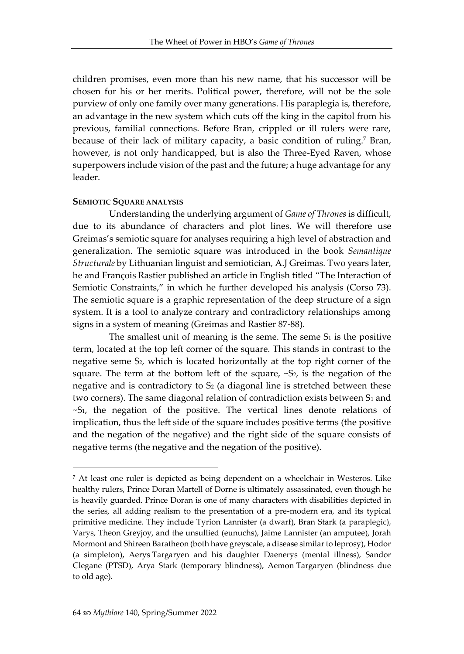children promises, even more than his new name, that his successor will be chosen for his or her merits. Political power, therefore, will not be the sole purview of only one family over many generations. His paraplegia is, therefore, an advantage in the new system which cuts off the king in the capitol from his previous, familial connections. Before Bran, crippled or ill rulers were rare, because of their lack of military capacity, a basic condition of ruling.<sup>7</sup> Bran, however, is not only handicapped, but is also the Three-Eyed Raven, whose superpowers include vision of the past and the future; a huge advantage for any leader.

#### **SEMIOTIC SQUARE ANALYSIS**

Understanding the underlying argument of *Game of Thrones* is difficult, due to its abundance of characters and plot lines. We will therefore use Greimas's semiotic square for analyses requiring a high level of abstraction and generalization. The semiotic square was introduced in the book *Semantique Structurale* by Lithuanian linguist and semiotician*,* A.J Greimas*.* Two years later, he and François Rastier published an article in English titled "The Interaction of Semiotic Constraints," in which he further developed his analysis (Corso 73). The semiotic square is a graphic representation of the deep structure of a sign system. It is a tool to analyze contrary and contradictory relationships among signs in a system of meaning (Greimas and Rastier 87-88).

The smallest unit of meaning is the seme. The seme  $S_1$  is the positive term, located at the top left corner of the square. This stands in contrast to the negative seme S2, which is located horizontally at the top right corner of the square. The term at the bottom left of the square,  $-S<sub>2</sub>$ , is the negation of the negative and is contradictory to S<sub>2</sub> (a diagonal line is stretched between these two corners). The same diagonal relation of contradiction exists between S1 and ~S1, the negation of the positive. The vertical lines denote relations of implication, thus the left side of the square includes positive terms (the positive and the negation of the negative) and the right side of the square consists of negative terms (the negative and the negation of the positive).

<sup>7</sup> At least one ruler is depicted as being dependent on a wheelchair in Westeros. Like healthy rulers, Prince Doran Martell of Dorne is ultimately assassinated, even though he is heavily guarded. Prince Doran is one of many characters with disabilities depicted in the series, all adding realism to the presentation of a pre-modern era, and its typical primitive medicine. They include Tyrion Lannister (a dwarf), Bran Stark (a paraplegic), Varys, Theon Greyjoy, and the unsullied (eunuchs), Jaime Lannister (an amputee), Jorah Mormont and Shireen Baratheon (both have greyscale, a disease similar to leprosy), Hodor (a simpleton), Aerys Targaryen and his daughter Daenerys (mental illness), Sandor Clegane (PTSD), Arya Stark (temporary blindness), Aemon Targaryen (blindness due to old age).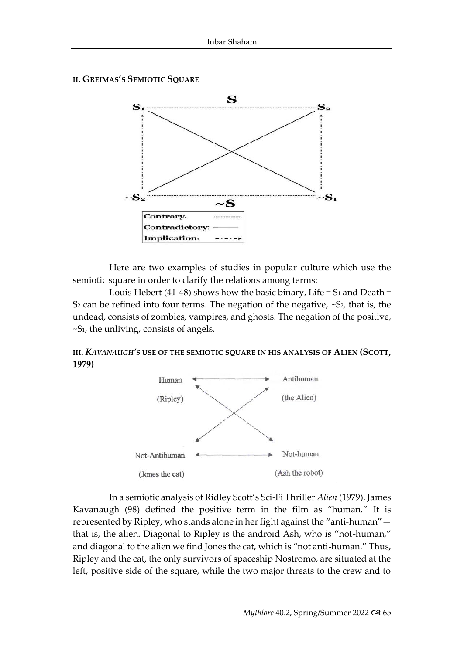



Here are two examples of studies in popular culture which use the semiotic square in order to clarify the relations among terms:

Louis Hebert (41-48) shows how the basic binary, Life =  $S_1$  and Death = S<sub>2</sub> can be refined into four terms. The negation of the negative,  $\sim$  S<sub>2</sub>, that is, the undead, consists of zombies, vampires, and ghosts. The negation of the positive, *~*S1, the unliving, consists of angels.

**III.** *KAVANAUGH'S* **USE OF THE SEMIOTIC SQUARE IN HIS ANALYSIS OF ALIEN (SCOTT, 1979)**



In a semiotic analysis of Ridley Scott's Sci-Fi Thriller *Alien* (1979), James Kavanaugh (98) defined the positive term in the film as "human." It is represented by Ripley, who stands alone in her fight against the "anti-human" that is, the alien. Diagonal to Ripley is the android Ash, who is "not-human," and diagonal to the alien we find Jones the cat, which is "not anti-human." Thus, Ripley and the cat, the only survivors of spaceship Nostromo, are situated at the left, positive side of the square, while the two major threats to the crew and to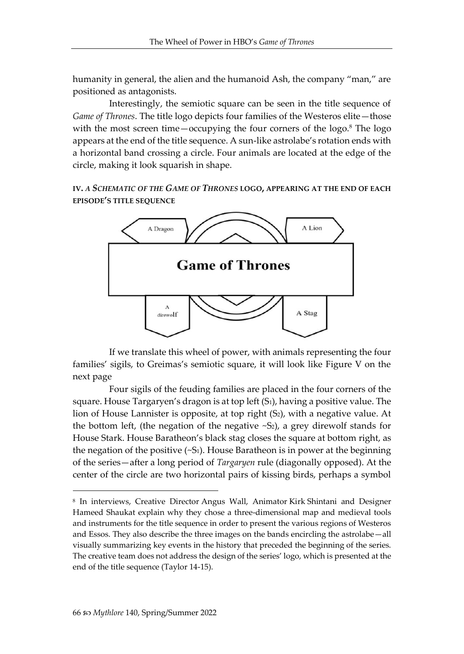humanity in general, the alien and the humanoid Ash, the company "man," are positioned as antagonists.

Interestingly, the semiotic square can be seen in the title sequence of *Game of Thrones*. The title logo depicts four families of the Westeros elite—those with the most screen time—occupying the four corners of the  $logo$ .<sup>8</sup> The  $logo$ appears at the end of the title sequence. A sun-like astrolabe's rotation ends with a horizontal band crossing a circle. Four animals are located at the edge of the circle, making it look squarish in shape.

**IV.** *A SCHEMATIC OF THE GAME OF THRONES* **LOGO, APPEARING AT THE END OF EACH EPISODE'S TITLE SEQUENCE**



If we translate this wheel of power, with animals representing the four families' sigils, to Greimas's semiotic square, it will look like Figure V on the next page

Four sigils of the feuding families are placed in the four corners of the square. House Targaryen's dragon is at top left (S1), having a positive value. The lion of House Lannister is opposite, at top right (S<sub>2</sub>), with a negative value. At the bottom left, (the negation of the negative  $\sim S_2$ ), a grey direwolf stands for House Stark. House Baratheon's black stag closes the square at bottom right, as the negation of the positive  $(-S_1)$ . House Baratheon is in power at the beginning of the series—after a long period of *Targaryen* rule (diagonally opposed). At the center of the circle are two horizontal pairs of kissing birds, perhaps a symbol

<sup>8</sup> In interviews, Creative Director Angus Wall, Animator Kirk Shintani and Designer Hameed Shaukat explain why they chose a three-dimensional map and medieval tools and instruments for the title sequence in order to present the various regions of Westeros and Essos. They also describe the three images on the bands encircling the astrolabe—all visually summarizing key events in the history that preceded the beginning of the series. The creative team does not address the design of the series' logo, which is presented at the end of the title sequence (Taylor 14-15).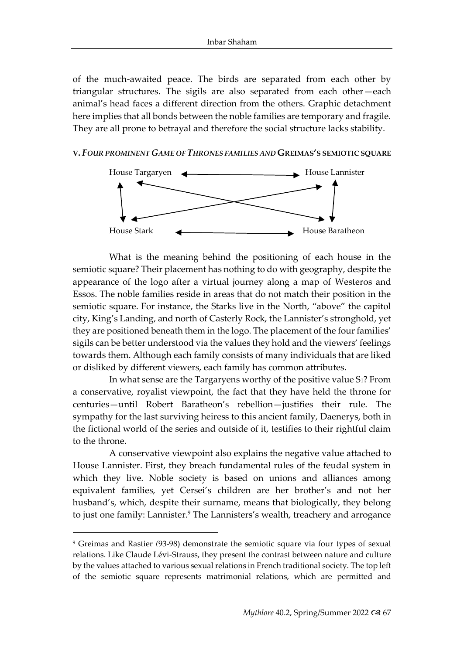of the much-awaited peace. The birds are separated from each other by triangular structures. The sigils are also separated from each other—each animal's head faces a different direction from the others. Graphic detachment here implies that all bonds between the noble families are temporary and fragile. They are all prone to betrayal and therefore the social structure lacks stability.

#### **V.** *FOUR PROMINENT GAME OF THRONES FAMILIES AND* **GREIMAS'S SEMIOTIC SQUARE**



What is the meaning behind the positioning of each house in the semiotic square? Their placement has nothing to do with geography, despite the appearance of the logo after a virtual journey along a map of Westeros and Essos. The noble families reside in areas that do not match their position in the semiotic square. For instance, the Starks live in the North, "above" the capitol city, King's Landing, and north of Casterly Rock, the Lannister's stronghold, yet they are positioned beneath them in the logo. The placement of the four families' sigils can be better understood via the values they hold and the viewers' feelings towards them. Although each family consists of many individuals that are liked or disliked by different viewers, each family has common attributes.

In what sense are the Targaryens worthy of the positive value S1? From a conservative, royalist viewpoint, the fact that they have held the throne for centuries—until Robert Baratheon's rebellion—justifies their rule. The sympathy for the last surviving heiress to this ancient family, Daenerys, both in the fictional world of the series and outside of it, testifies to their rightful claim to the throne.

A conservative viewpoint also explains the negative value attached to House Lannister. First, they breach fundamental rules of the feudal system in which they live. Noble society is based on unions and alliances among equivalent families, yet Cersei's children are her brother's and not her husband's, which, despite their surname, means that biologically, they belong to just one family: Lannister.<sup>9</sup> The Lannisters's wealth, treachery and arrogance

<sup>9</sup> Greimas and Rastier *(*93-98) demonstrate the semiotic square via four types of sexual relations. Like Claude Lévi-Strauss, they present the contrast between nature and culture by the values attached to various sexual relations in French traditional society. The top left of the semiotic square represents matrimonial relations, which are permitted and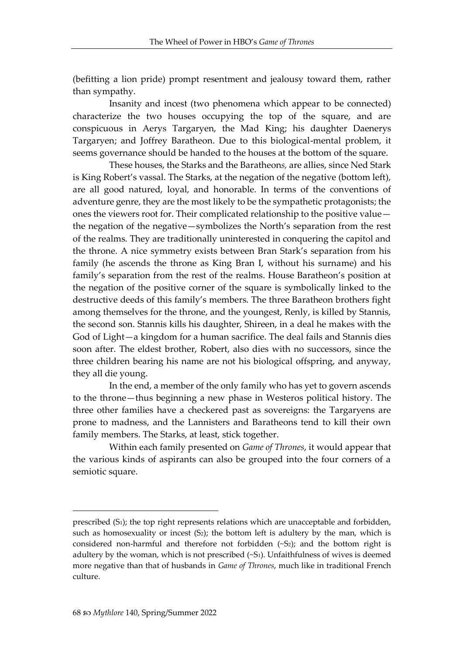(befitting a lion pride) prompt resentment and jealousy toward them, rather than sympathy.

Insanity and incest (two phenomena which appear to be connected) characterize the two houses occupying the top of the square, and are conspicuous in Aerys Targaryen, the Mad King; his daughter Daenerys Targaryen; and Joffrey Baratheon. Due to this biological-mental problem, it seems governance should be handed to the houses at the bottom of the square.

These houses, the Starks and the Baratheon*s,* are allies, since Ned Stark is King Robert's vassal. The Starks, at the negation of the negative (bottom left), are all good natured, loyal, and honorable. In terms of the conventions of adventure genre, they are the most likely to be the sympathetic protagonists; the ones the viewers root for. Their complicated relationship to the positive value the negation of the negative—symbolizes the North's separation from the rest of the realms. They are traditionally uninterested in conquering the capitol and the throne. A nice symmetry exists between Bran Stark's separation from his family (he ascends the throne as King Bran I, without his surname) and his family's separation from the rest of the realms. House Baratheon's position at the negation of the positive corner of the square is symbolically linked to the destructive deeds of this family's members. The three Baratheon brothers fight among themselves for the throne, and the youngest, Renly, is killed by Stannis, the second son. Stannis kills his daughter, Shireen, in a deal he makes with the God of Light—a kingdom for a human sacrifice. The deal fails and Stannis dies soon after. The eldest brother, Robert, also dies with no successors, since the three children bearing his name are not his biological offspring, and anyway, they all die young.

In the end, a member of the only family who has yet to govern ascends to the throne—thus beginning a new phase in Westeros political history. The three other families have a checkered past as sovereigns: the Targaryens are prone to madness, and the Lannisters and Baratheons tend to kill their own family members. The Starks, at least, stick together.

Within each family presented on *Game of Thrones*, it would appear that the various kinds of aspirants can also be grouped into the four corners of a semiotic square.

prescribed  $(S_1)$ ; the top right represents relations which are unacceptable and forbidden, such as homosexuality or incest  $(S_2)$ ; the bottom left is adultery by the man, which is considered non-harmful and therefore not forbidden (~S2); and the bottom right is adultery by the woman, which is not prescribed  $(-S_1)$ . Unfaithfulness of wives is deemed more negative than that of husbands in *Game of Thrones*, much like in traditional French culture.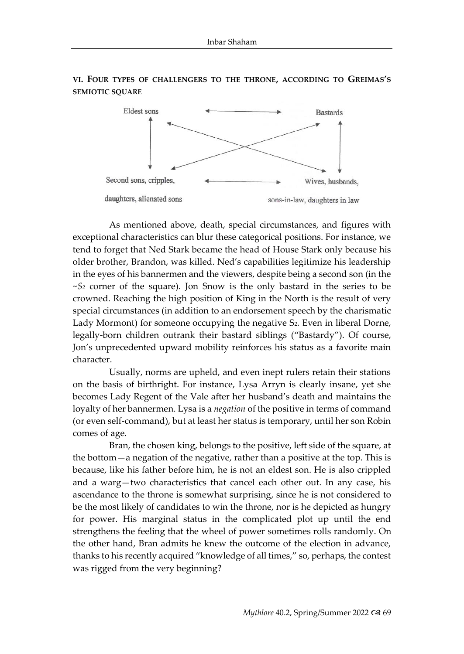

**VI. FOUR TYPES OF CHALLENGERS TO THE THRONE, ACCORDING TO GREIMAS'S SEMIOTIC SQUARE** 

As mentioned above, death, special circumstances, and figures with exceptional characteristics can blur these categorical positions. For instance, we tend to forget that Ned Stark became the head of House Stark only because his older brother, Brandon, was killed. Ned's capabilities legitimize his leadership in the eyes of his bannermen and the viewers, despite being a second son (in the ~*S<sup>2</sup>* corner of the square). Jon Snow is the only bastard in the series to be crowned. Reaching the high position of King in the North is the result of very special circumstances (in addition to an endorsement speech by the charismatic Lady Mormont) for someone occupying the negative S<sub>2</sub>. Even in liberal Dorne, legally-born children outrank their bastard siblings ("Bastardy"). Of course, Jon's unprecedented upward mobility reinforces his status as a favorite main character.

Usually, norms are upheld, and even inept rulers retain their stations on the basis of birthright. For instance, Lysa Arryn is clearly insane, yet she becomes Lady Regent of the Vale after her husband's death and maintains the loyalty of her bannermen. Lysa is a *negation* of the positive in terms of command (or even self-command), but at least her status is temporary, until her son Robin comes of age.

Bran, the chosen king, belongs to the positive, left side of the square, at the bottom—a negation of the negative, rather than a positive at the top. This is because, like his father before him, he is not an eldest son. He is also crippled and a warg—two characteristics that cancel each other out. In any case, his ascendance to the throne is somewhat surprising, since he is not considered to be the most likely of candidates to win the throne, nor is he depicted as hungry for power. His marginal status in the complicated plot up until the end strengthens the feeling that the wheel of power sometimes rolls randomly. On the other hand, Bran admits he knew the outcome of the election in advance, thanks to his recently acquired "knowledge of all times," so, perhaps, the contest was rigged from the very beginning?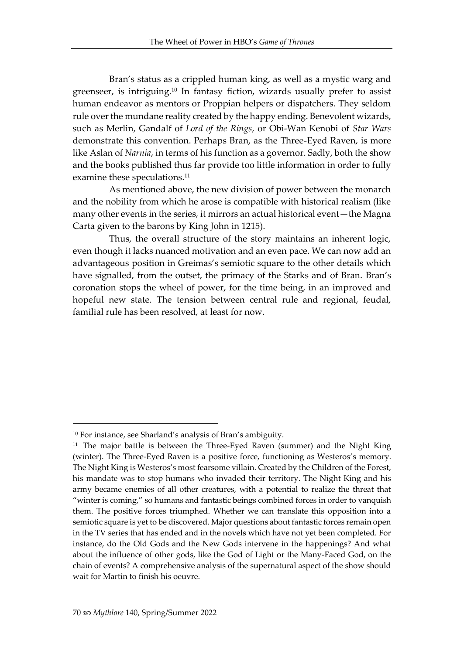Bran's status as a crippled human king, as well as a mystic warg and greenseer, is intriguing.<sup>10</sup> In fantasy fiction, wizards usually prefer to assist human endeavor as mentors or Proppian helpers or dispatchers. They seldom rule over the mundane reality created by the happy ending. Benevolent wizards, such as Merlin, Gandalf of *Lord of the Rings*, or Obi-Wan Kenobi of *Star Wars* demonstrate this convention. Perhaps Bran, as the Three-Eyed Raven, is more like Aslan of *Narnia*, in terms of his function as a governor. Sadly, both the show and the books published thus far provide too little information in order to fully examine these speculations.<sup>11</sup>

As mentioned above, the new division of power between the monarch and the nobility from which he arose is compatible with historical realism (like many other events in the series, it mirrors an actual historical event—the Magna Carta given to the barons by King John in 1215).

Thus, the overall structure of the story maintains an inherent logic, even though it lacks nuanced motivation and an even pace. We can now add an advantageous position in Greimas's semiotic square to the other details which have signalled, from the outset, the primacy of the Starks and of Bran. Bran's coronation stops the wheel of power, for the time being, in an improved and hopeful new state. The tension between central rule and regional, feudal, familial rule has been resolved, at least for now.

<sup>10</sup> For instance, see Sharland's analysis of Bran's ambiguity.

<sup>&</sup>lt;sup>11</sup> The major battle is between the Three-Eyed Raven (summer) and the Night King (winter). The Three-Eyed Raven is a positive force, functioning as Westeros's memory. The Night King is Westeros's most fearsome villain. Created by the Children of the Forest, his mandate was to stop humans who invaded their territory. The Night King and his army became enemies of all other creatures, with a potential to realize the threat that "winter is coming," so humans and fantastic beings combined forces in order to vanquish them. The positive forces triumphed. Whether we can translate this opposition into a semiotic square is yet to be discovered. Major questions about fantastic forces remain open in the TV series that has ended and in the novels which have not yet been completed. For instance, do the Old Gods and the New Gods intervene in the happenings? And what about the influence of other gods, like the God of Light or the Many-Faced God, on the chain of events? A comprehensive analysis of the supernatural aspect of the show should wait for Martin to finish his oeuvre.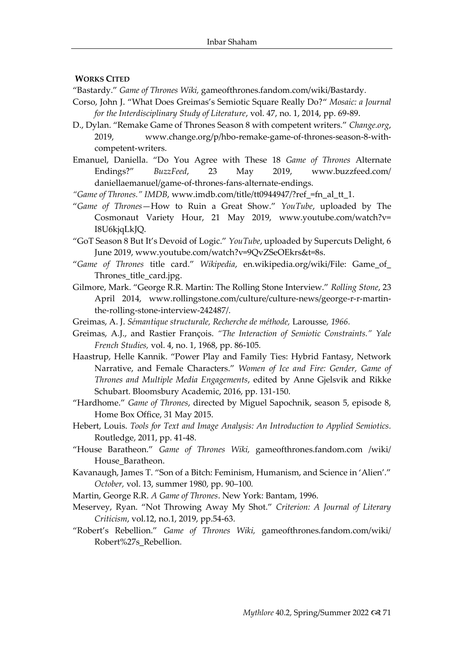#### **WORKS CITED**

"Bastardy." *Game of Thrones Wiki,* gameofthrones.fandom.com/wiki/Bastardy*.* 

- Corso, John J. ["What Does Greimas's Semiotic Square Really Do?"](https://opal.openu.ac.il/pluginfile.php/6996433/mod_page/content/10/Corso-Greimas.pdf) *Mosaic: a Journal for the Interdisciplinary Study of Literature*, vol. 47, no. 1, 2014, pp. 69-89.
- D., Dylan. "Remake Game of Thrones Season 8 with competent writers." *Change.org*, 2019, [www.change.org/p/hbo-remake-game-of-thrones-season-8-with](http://www.change.org/p/hbo-remake-game-of-thrones-season-8-with-competent-)[competent-w](http://www.change.org/p/hbo-remake-game-of-thrones-season-8-with-competent-)riters.
- Emanuel, Daniella. "Do You Agree with These 18 *Game of Thrones* Alternate Endings?" *BuzzFeed*, 23 May 2019, www.buzzfeed.com/ daniellaemanuel/game-of-thrones-fans-alternate-endings.
- *"Game of Thrones." IMDB*, www.imdb.com/title/tt0944947/?ref\_=fn\_al\_tt\_1.
- "*Game of Thrones*—How to Ruin a Great Show." *YouTube*, uploaded by The Cosmonaut Variety Hour, 21 May 2019, www.youtube.com/watch?v= I8U6kjqLkJQ.
- "GoT Season 8 But It's Devoid of Logic." *YouTube*, uploaded by Supercuts Delight, 6 June 2019, www.youtube.com/watch?v=9QvZSeOEkrs&t=8s.
- "*Game of Thrones* title card." *Wikipedia*, en.wikipedia.org/wiki/File: Game\_of\_ Thrones\_title\_card.jpg.
- Gilmore, Mark. "George R.R. Martin: The Rolling Stone Interview." *Rolling Stone*, 23 April 2014, www.rollingstone.com/culture/culture-news/george-r-r-martinthe-rolling-stone-interview-242487/.
- Greimas, A. J. *Sémantique structurale, Recherche de méthode,* Larousse*, 1966.*
- Greimas, A.J., and Rastier François. *"The Interaction of Semiotic Constraints." Yale French Studies,* vol. 4, no. 1, 1968, pp. 86-105*.*
- Haastrup, Helle Kannik. "Power Play and Family Ties: Hybrid Fantasy, Network Narrative, and Female Characters." *Women of Ice and Fire: Gender, Game of Thrones and Multiple Media Engagements*, edited by Anne Gjelsvik and Rikke Schubart. Bloomsbury Academic, 2016, pp. 131-150.
- "Hardhome." *Game of Thrones*, directed by Miguel Sapochnik, season 5, episode 8, Home Box Office, 31 May 2015.
- Hebert, Louis. *Tools for Text and Image Analysis: An Introduction to Applied Semiotics.* Routledge, 2011, pp. 41-48.
- "House Baratheon." *Game of Thrones Wiki,* gameofthrones.fandom.com /wiki/ House\_Baratheon.
- Kavanaugh, James T. "Son of a Bitch: Feminism, Humanism, and Science in 'Alien'." *October,* vol. 13, summer 1980, pp. 90–100*.*
- Martin, George R.R. *A Game of Thrones*. New York: Bantam, 1996.
- Meservey, Ryan. "Not Throwing Away My Shot." *Criterion: A Journal of Literary Criticism*, vol.12, no.1, 2019, pp.54-63.
- "Robert's Rebellion." *Game of Thrones Wiki,* gameofthrones.fandom.com/wiki/ Robert%27s\_Rebellion*.*